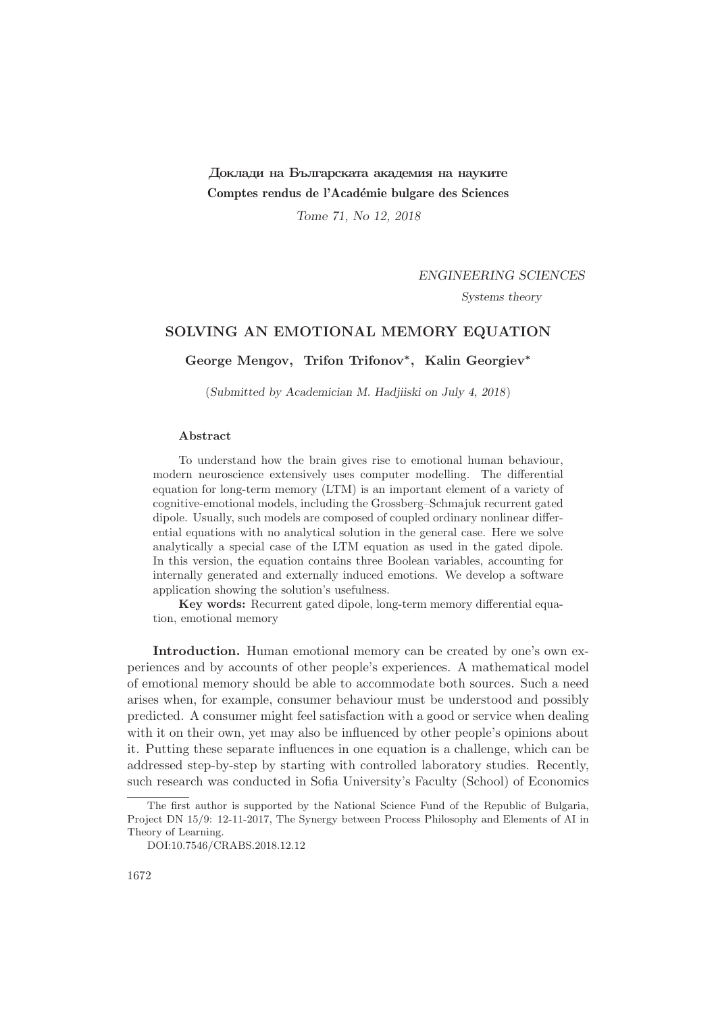# Доклади на Българската академия на науките Comptes rendus de l'Académie bulgare des Sciences

Tome 71, No 12, 2018

## ENGINEERING SCIENCES

Systems theory

# SOLVING AN EMOTIONAL MEMORY EQUATION

George Mengov, Trifon Trifonov<sup>∗</sup> , Kalin Georgiev<sup>∗</sup>

(Submitted by Academician M. Hadjiiski on July 4, 2018)

#### Abstract

To understand how the brain gives rise to emotional human behaviour, modern neuroscience extensively uses computer modelling. The differential equation for long-term memory (LTM) is an important element of a variety of cognitive-emotional models, including the Grossberg–Schmajuk recurrent gated dipole. Usually, such models are composed of coupled ordinary nonlinear differential equations with no analytical solution in the general case. Here we solve analytically a special case of the LTM equation as used in the gated dipole. In this version, the equation contains three Boolean variables, accounting for internally generated and externally induced emotions. We develop a software application showing the solution's usefulness.

Key words: Recurrent gated dipole, long-term memory differential equation, emotional memory

Introduction. Human emotional memory can be created by one's own experiences and by accounts of other people's experiences. A mathematical model of emotional memory should be able to accommodate both sources. Such a need arises when, for example, consumer behaviour must be understood and possibly predicted. A consumer might feel satisfaction with a good or service when dealing with it on their own, yet may also be influenced by other people's opinions about it. Putting these separate influences in one equation is a challenge, which can be addressed step-by-step by starting with controlled laboratory studies. Recently, such research was conducted in Sofia University's Faculty (School) of Economics

The first author is supported by the National Science Fund of the Republic of Bulgaria, Project DN 15/9: 12-11-2017, The Synergy between Process Philosophy and Elements of AI in Theory of Learning.

DOI:10.7546/CRABS.2018.12.12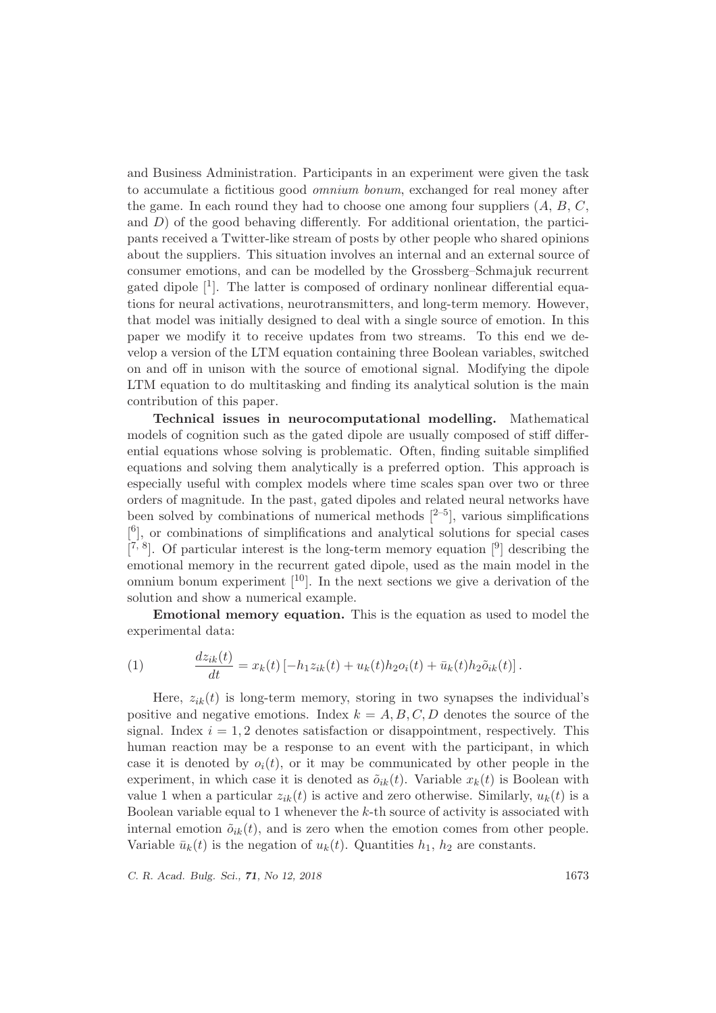and Business Administration. Participants in an experiment were given the task to accumulate a fictitious good omnium bonum, exchanged for real money after the game. In each round they had to choose one among four suppliers  $(A, B, C, \mathbb{R})$ and  $D$ ) of the good behaving differently. For additional orientation, the participants received a Twitter-like stream of posts by other people who shared opinions about the suppliers. This situation involves an internal and an external source of consumer emotions, and can be modelled by the Grossberg–Schmajuk recurrent gated dipole [1]. The latter is composed of ordinary nonlinear differential equations for neural activations, neurotransmitters, and long-term memory. However, that model was initially designed to deal with a single source of emotion. In this paper we modify it to receive updates from two streams. To this end we develop a version of the LTM equation containing three Boolean variables, switched on and off in unison with the source of emotional signal. Modifying the dipole LTM equation to do multitasking and finding its analytical solution is the main contribution of this paper.

Technical issues in neurocomputational modelling. Mathematical models of cognition such as the gated dipole are usually composed of stiff differential equations whose solving is problematic. Often, finding suitable simplified equations and solving them analytically is a preferred option. This approach is especially useful with complex models where time scales span over two or three orders of magnitude. In the past, gated dipoles and related neural networks have been solved by combinations of numerical methods  $[2-5]$ , various simplifications [ 6 ], or combinations of simplifications and analytical solutions for special cases  $[7, 8]$ . Of particular interest is the long-term memory equation  $[9]$  describing the emotional memory in the recurrent gated dipole, used as the main model in the omnium bonum experiment  $[10]$ . In the next sections we give a derivation of the solution and show a numerical example.

Emotional memory equation. This is the equation as used to model the experimental data:

(1) 
$$
\frac{dz_{ik}(t)}{dt} = x_k(t) \left[ -h_1 z_{ik}(t) + u_k(t) h_2 o_i(t) + \bar{u}_k(t) h_2 \tilde{o}_{ik}(t) \right].
$$

Here,  $z_{ik}(t)$  is long-term memory, storing in two synapses the individual's positive and negative emotions. Index  $k = A, B, C, D$  denotes the source of the signal. Index  $i = 1, 2$  denotes satisfaction or disappointment, respectively. This human reaction may be a response to an event with the participant, in which case it is denoted by  $o_i(t)$ , or it may be communicated by other people in the experiment, in which case it is denoted as  $\tilde{o}_{ik}(t)$ . Variable  $x_k(t)$  is Boolean with value 1 when a particular  $z_{ik}(t)$  is active and zero otherwise. Similarly,  $u_k(t)$  is a Boolean variable equal to 1 whenever the k-th source of activity is associated with internal emotion  $\tilde{o}_{ik}(t)$ , and is zero when the emotion comes from other people. Variable  $\bar{u}_k(t)$  is the negation of  $u_k(t)$ . Quantities  $h_1$ ,  $h_2$  are constants.

C. R. Acad. Bulg. Sci., **71**, No 12, 2018 1673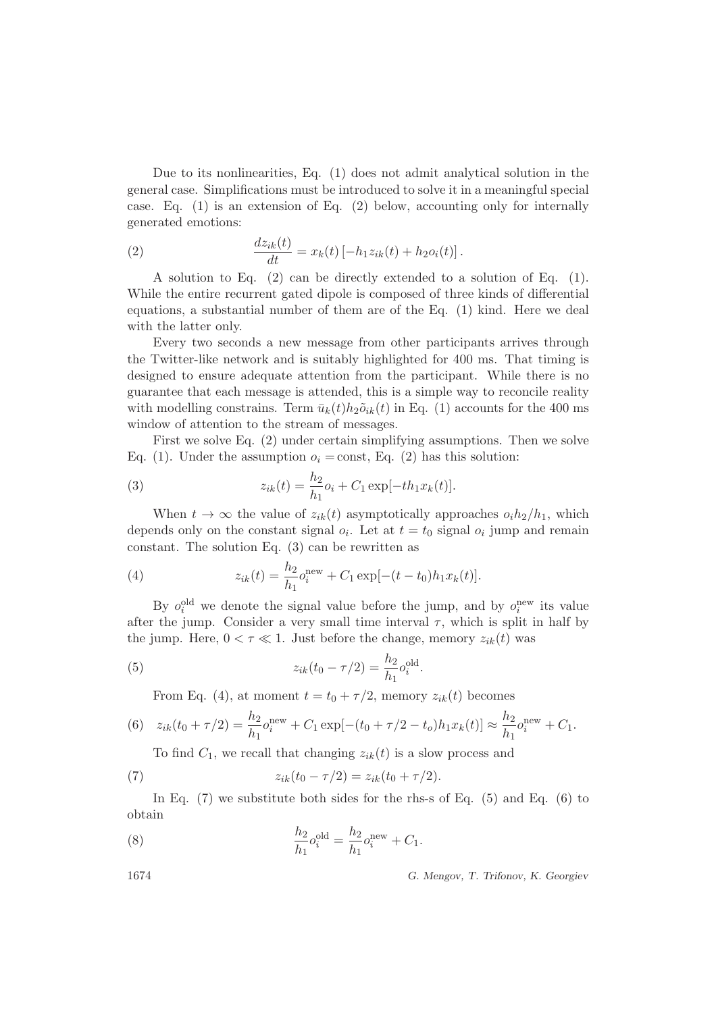Due to its nonlinearities, Eq. (1) does not admit analytical solution in the general case. Simplifications must be introduced to solve it in a meaningful special case. Eq.  $(1)$  is an extension of Eq.  $(2)$  below, accounting only for internally generated emotions:

(2) 
$$
\frac{dz_{ik}(t)}{dt} = x_k(t) \left[ -h_1 z_{ik}(t) + h_2 o_i(t) \right].
$$

A solution to Eq. (2) can be directly extended to a solution of Eq. (1). While the entire recurrent gated dipole is composed of three kinds of differential equations, a substantial number of them are of the Eq. (1) kind. Here we deal with the latter only.

Every two seconds a new message from other participants arrives through the Twitter-like network and is suitably highlighted for 400 ms. That timing is designed to ensure adequate attention from the participant. While there is no guarantee that each message is attended, this is a simple way to reconcile reality with modelling constrains. Term  $\bar{u}_k(t)h_2\tilde{o}_{ik}(t)$  in Eq. (1) accounts for the 400 ms window of attention to the stream of messages.

First we solve Eq. (2) under certain simplifying assumptions. Then we solve Eq. (1). Under the assumption  $o_i = \text{const}$ , Eq. (2) has this solution:

(3) 
$$
z_{ik}(t) = \frac{h_2}{h_1}o_i + C_1 \exp[-th_1x_k(t)].
$$

When  $t \to \infty$  the value of  $z_{ik}(t)$  asymptotically approaches  $o_i h_2/h_1$ , which depends only on the constant signal  $o_i$ . Let at  $t = t_0$  signal  $o_i$  jump and remain constant. The solution Eq. (3) can be rewritten as

(4) 
$$
z_{ik}(t) = \frac{h_2}{h_1} o_i^{\text{new}} + C_1 \exp[-(t - t_0)h_1 x_k(t)].
$$

By  $o_i^{\text{old}}$  we denote the signal value before the jump, and by  $o_i^{\text{new}}$  its value after the jump. Consider a very small time interval  $\tau$ , which is split in half by the jump. Here,  $0 < \tau \ll 1$ . Just before the change, memory  $z_{ik}(t)$  was

.

(5) 
$$
z_{ik}(t_0 - \tau/2) = \frac{h_2}{h_1} o_i^{\text{old}}
$$

From Eq. (4), at moment  $t = t_0 + \tau/2$ , memory  $z_{ik}(t)$  becomes

(6) 
$$
z_{ik}(t_0 + \tau/2) = \frac{h_2}{h_1} o_i^{\text{new}} + C_1 \exp[-(t_0 + \tau/2 - t_o)h_1 x_k(t)] \approx \frac{h_2}{h_1} o_i^{\text{new}} + C_1.
$$

To find  $C_1$ , we recall that changing  $z_{ik}(t)$  is a slow process and

(7) 
$$
z_{ik}(t_0 - \tau/2) = z_{ik}(t_0 + \tau/2).
$$

In Eq.  $(7)$  we substitute both sides for the rhs-s of Eq.  $(5)$  and Eq.  $(6)$  to obtain

(8) 
$$
\frac{h_2}{h_1} o_i^{\text{old}} = \frac{h_2}{h_1} o_i^{\text{new}} + C_1.
$$

1674 G. Mengov, T. Trifonov, K. Georgiev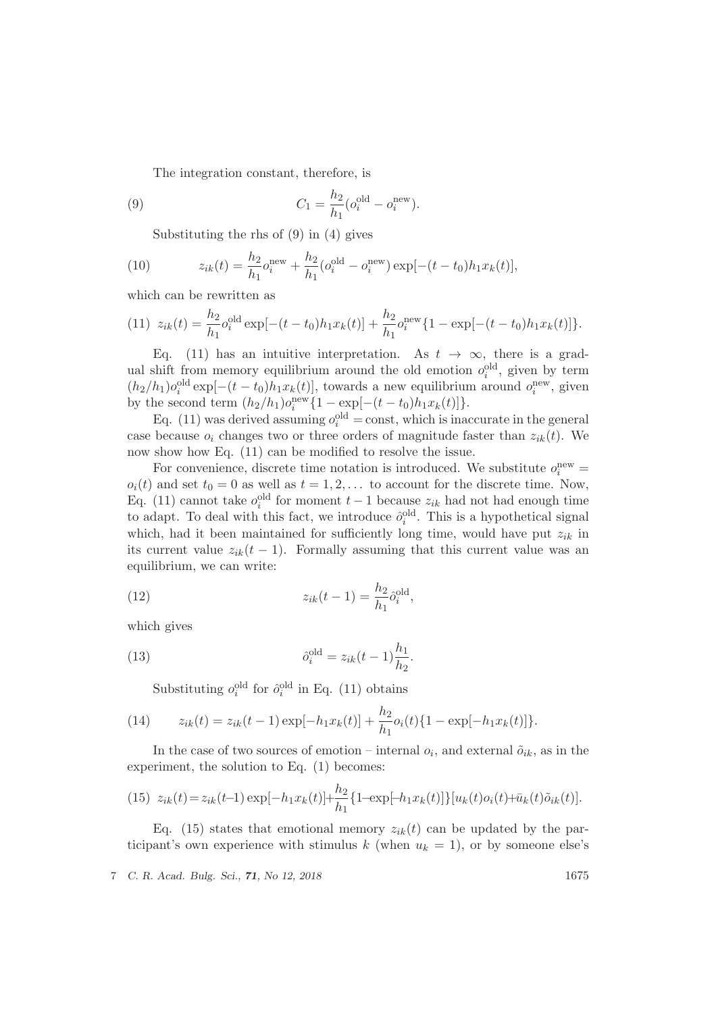The integration constant, therefore, is

(9) 
$$
C_1 = \frac{h_2}{h_1} (o_i^{\text{old}} - o_i^{\text{new}}).
$$

Substituting the rhs of (9) in (4) gives

(10) 
$$
z_{ik}(t) = \frac{h_2}{h_1} o_i^{\text{new}} + \frac{h_2}{h_1} (o_i^{\text{old}} - o_i^{\text{new}}) \exp[-(t - t_0)h_1 x_k(t)],
$$

which can be rewritten as

(11) 
$$
z_{ik}(t) = \frac{h_2}{h_1} o_i^{\text{old}} \exp[-(t - t_0)h_1 x_k(t)] + \frac{h_2}{h_1} o_i^{\text{new}} \{1 - \exp[-(t - t_0)h_1 x_k(t)]\}.
$$

Eq. (11) has an intuitive interpretation. As  $t \to \infty$ , there is a gradual shift from memory equilibrium around the old emotion  $o_i^{\text{old}}$ , given by term  $(h_2/h_1)$ o<sup>old</sup> exp[-(t - t<sub>0</sub>) $h_1x_k(t)$ ], towards a new equilibrium around o<sup>new</sup>, given by the second term  $(h_2/h_1) o_i^{\text{new}} \{1 - \exp[-(t - t_0)h_1 x_k(t)]\}.$ 

Eq. (11) was derived assuming  $o_i^{\text{old}} = \text{const}$ , which is inaccurate in the general case because  $o_i$  changes two or three orders of magnitude faster than  $z_{ik}(t)$ . We now show how Eq. (11) can be modified to resolve the issue.

For convenience, discrete time notation is introduced. We substitute  $o_i^{\text{new}} =$  $o_i(t)$  and set  $t_0 = 0$  as well as  $t = 1, 2, \ldots$  to account for the discrete time. Now, Eq. (11) cannot take  $o_i^{\text{old}}$  for moment  $t-1$  because  $z_{ik}$  had not had enough time to adapt. To deal with this fact, we introduce  $\hat{o}_i^{\text{old}}$ . This is a hypothetical signal which, had it been maintained for sufficiently long time, would have put  $z_{ik}$  in its current value  $z_{ik}(t-1)$ . Formally assuming that this current value was an equilibrium, we can write:

(12) 
$$
z_{ik}(t-1) = \frac{h_2}{h_1} \hat{o}_i^{\text{old}},
$$

which gives

(13) 
$$
\hat{o}_i^{\text{old}} = z_{ik}(t-1)\frac{h_1}{h_2}.
$$

Substituting  $o_i^{\text{old}}$  for  $\hat{o}_i^{\text{old}}$  in Eq. (11) obtains

(14) 
$$
z_{ik}(t) = z_{ik}(t-1) \exp[-h_1 x_k(t)] + \frac{h_2}{h_1} o_i(t) \{1 - \exp[-h_1 x_k(t)]\}.
$$

In the case of two sources of emotion – internal  $o_i$ , and external  $\tilde{o}_{ik}$ , as in the experiment, the solution to Eq. (1) becomes:

(15) 
$$
z_{ik}(t) = z_{ik}(t-1) \exp[-h_1 x_k(t)] + \frac{h_2}{h_1} \{1 - \exp[-h_1 x_k(t)]\} [u_k(t) o_i(t) + \bar{u}_k(t) \tilde{o}_{ik}(t)].
$$

Eq. (15) states that emotional memory  $z_{ik}(t)$  can be updated by the participant's own experience with stimulus k (when  $u_k = 1$ ), or by someone else's

7 C. R. Acad. Bulg. Sci., 71, No 12, 2018 1675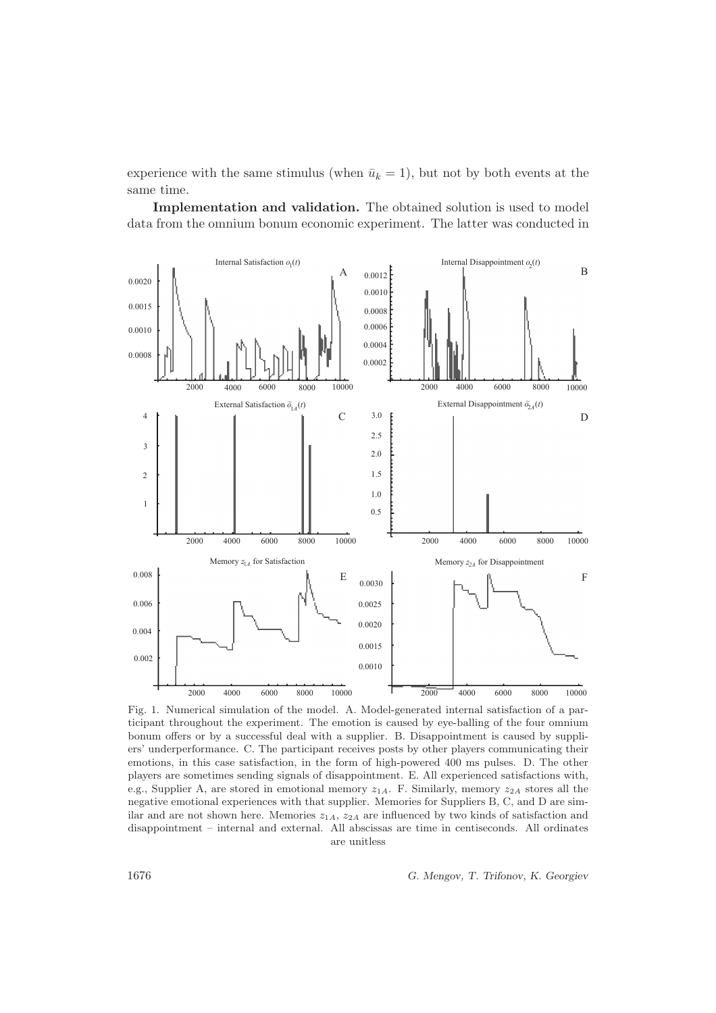experience with the same stimulus (when  $\bar{u}_k = 1$ ), but not by both events at the same time.

Implementation and validation. The obtained solution is used to model data from the omnium bonum economic experiment. The latter was conducted in



Fig. 1. Numerical simulation of the model. A. Model-generated internal satisfaction of a participant throughout the experiment. The emotion is caused by eye-balling of the four omnium bonum offers or by a successful deal with a supplier. B. Disappointment is caused by suppliers' underperformance. C. The participant receives posts by other players communicating their emotions, in this case satisfaction, in the form of high-powered 400 ms pulses. D. The other players are sometimes sending signals of disappointment. E. All experienced satisfactions with, e.g., Supplier A, are stored in emotional memory  $z_{1A}$ . F. Similarly, memory  $z_{2A}$  stores all the negative emotional experiences with that supplier. Memories for Suppliers B, C, and D are similar and are not shown here. Memories  $z_{1A}$ ,  $z_{2A}$  are influenced by two kinds of satisfaction and disappointment – internal and external. All abscissas are time in centiseconds. All ordinates are unitless

1676 G. Mengov, T. Trifonov, K. Georgiev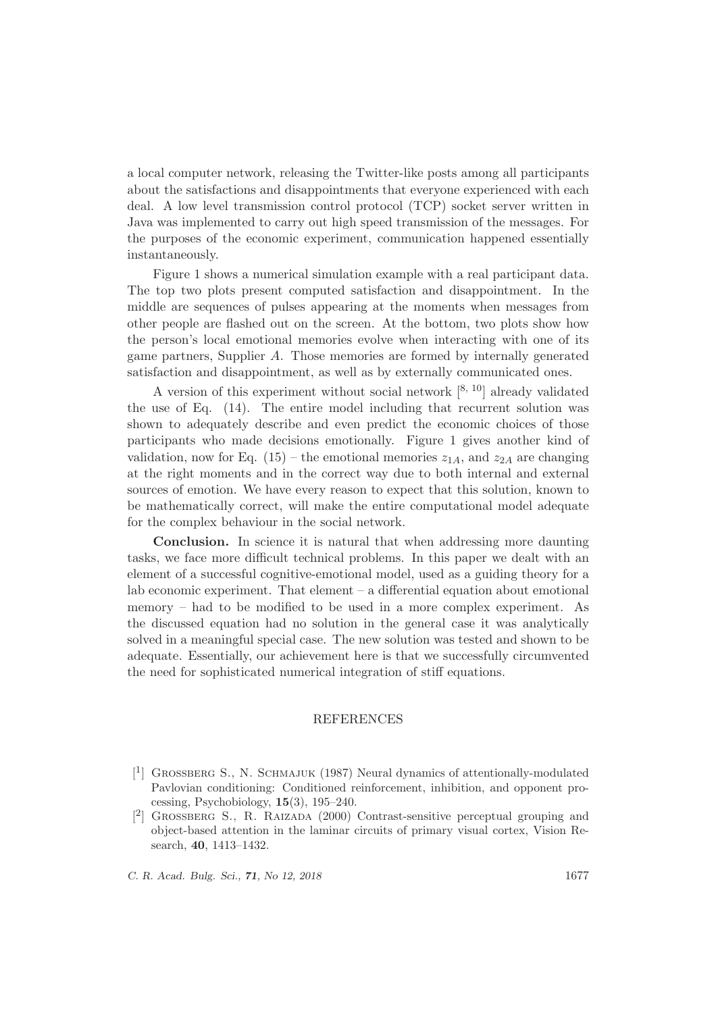a local computer network, releasing the Twitter-like posts among all participants about the satisfactions and disappointments that everyone experienced with each deal. A low level transmission control protocol (TCP) socket server written in Java was implemented to carry out high speed transmission of the messages. For the purposes of the economic experiment, communication happened essentially instantaneously.

Figure 1 shows a numerical simulation example with a real participant data. The top two plots present computed satisfaction and disappointment. In the middle are sequences of pulses appearing at the moments when messages from other people are flashed out on the screen. At the bottom, two plots show how the person's local emotional memories evolve when interacting with one of its game partners, Supplier A. Those memories are formed by internally generated satisfaction and disappointment, as well as by externally communicated ones.

A version of this experiment without social network  $[8, 10]$  already validated the use of Eq. (14). The entire model including that recurrent solution was shown to adequately describe and even predict the economic choices of those participants who made decisions emotionally. Figure 1 gives another kind of validation, now for Eq. (15) – the emotional memories  $z_{1A}$ , and  $z_{2A}$  are changing at the right moments and in the correct way due to both internal and external sources of emotion. We have every reason to expect that this solution, known to be mathematically correct, will make the entire computational model adequate for the complex behaviour in the social network.

Conclusion. In science it is natural that when addressing more daunting tasks, we face more difficult technical problems. In this paper we dealt with an element of a successful cognitive-emotional model, used as a guiding theory for a lab economic experiment. That element – a differential equation about emotional memory – had to be modified to be used in a more complex experiment. As the discussed equation had no solution in the general case it was analytically solved in a meaningful special case. The new solution was tested and shown to be adequate. Essentially, our achievement here is that we successfully circumvented the need for sophisticated numerical integration of stiff equations.

## **REFERENCES**

C. R. Acad. Bulg. Sci., 71, No 12, 2018 1677

<sup>[&</sup>lt;sup>1</sup>] GROSSBERG S., N. SCHMAJUK (1987) Neural dynamics of attentionally-modulated Pavlovian conditioning: Conditioned reinforcement, inhibition, and opponent processing, Psychobiology, 15(3), 195–240.

<sup>[&</sup>lt;sup>2</sup>] GROSSBERG S., R. RAIZADA (2000) Contrast-sensitive perceptual grouping and object-based attention in the laminar circuits of primary visual cortex, Vision Research, 40, 1413–1432.